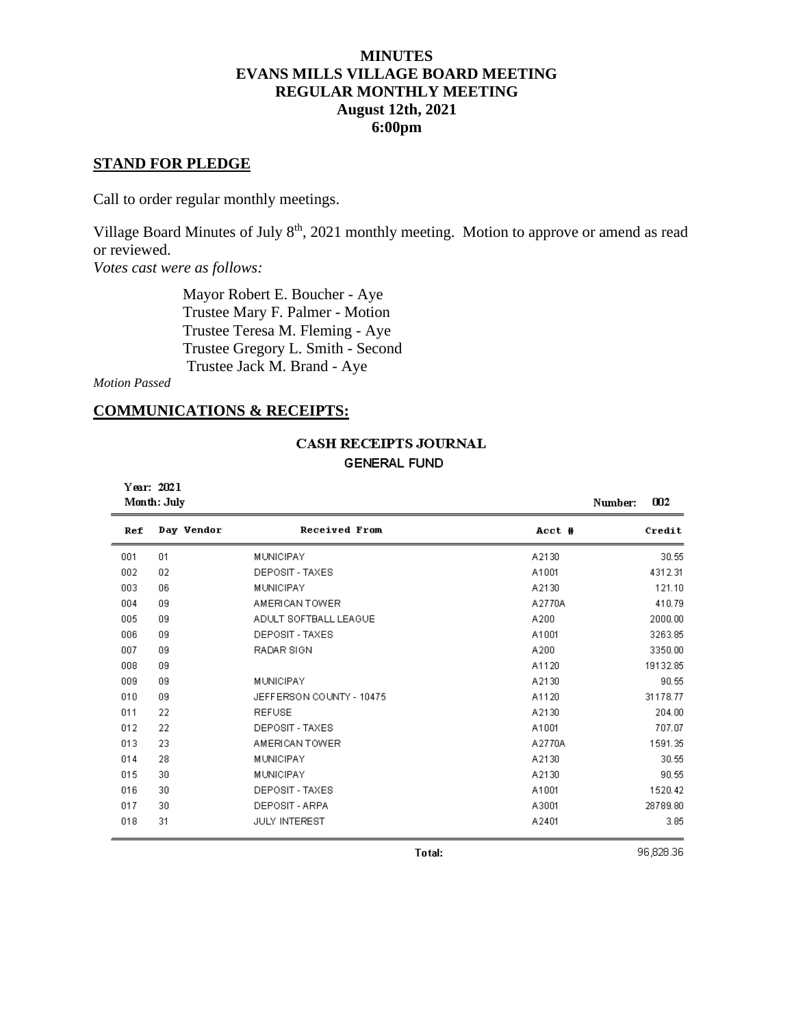## **MINUTES EVANS MILLS VILLAGE BOARD MEETING REGULAR MONTHLY MEETING August 12th, 2021 6:00pm**

### **STAND FOR PLEDGE**

Call to order regular monthly meetings.

Village Board Minutes of July 8<sup>th</sup>, 2021 monthly meeting. Motion to approve or amend as read or reviewed.

*Votes cast were as follows:*

 Mayor Robert E. Boucher - Aye Trustee Mary F. Palmer - Motion Trustee Teresa M. Fleming - Aye Trustee Gregory L. Smith - Second Trustee Jack M. Brand - Aye

*Motion Passed*

### **COMMUNICATIONS & RECEIPTS:**

# **CASH RECEIPTS JOURNAL**

**GENERAL FUND** 

| Year: 2021<br>Month: July |            |                          | 002<br>Number: |          |
|---------------------------|------------|--------------------------|----------------|----------|
| Ref                       | Day Vendor | <b>Received From</b>     | Acct #         | Credit   |
| 001                       | 01         | <b>MUNICIPAY</b>         | A2130          | 30.55    |
| 002                       | 02         | DEPOSIT - TAXES          | A1001          | 4312.31  |
| 003                       | 06         | <b>MUNICIPAY</b>         | A2130          | 121.10   |
| 004                       | 09         | AMERICAN TOWER           | A2770A         | 410.79   |
| 005                       | 09         | ADULT SOFTBALL LEAGUE    | A200           | 2000.00  |
| 006                       | 09         | DEPOSIT - TAXES          | A1001          | 3263.85  |
| 007                       | 09         | RADAR SIGN               | A200           | 3350.00  |
| 008                       | 09         |                          | A1120          | 19132.85 |
| 009                       | 09         | <b>MUNICIPAY</b>         | A2130          | 90.55    |
| 010                       | 09         | JEFFERSON COUNTY - 10475 | A1120          | 31178.77 |
| 011                       | 22         | <b>REFUSE</b>            | A2130          | 204.00   |
| 012                       | 22         | DEPOSIT - TAXES          | A1001          | 707.07   |
| 013                       | 23         | AMERICAN TOWER           | A2770A         | 1591.35  |
| 014                       | 28         | <b>MUNICIPAY</b>         | A2130          | 30.55    |
| 015                       | 30         | MUNICIPAY                | A2130          | 90.55    |
| 016                       | 30         | DEPOSIT - TAXES          | A1001          | 1520.42  |
| 017                       | 30         | DEPOSIT - ARPA           | A3001          | 28789.80 |
| 018                       | 31         | <b>JULY INTEREST</b>     | A2401          | 3.85     |

96,828.36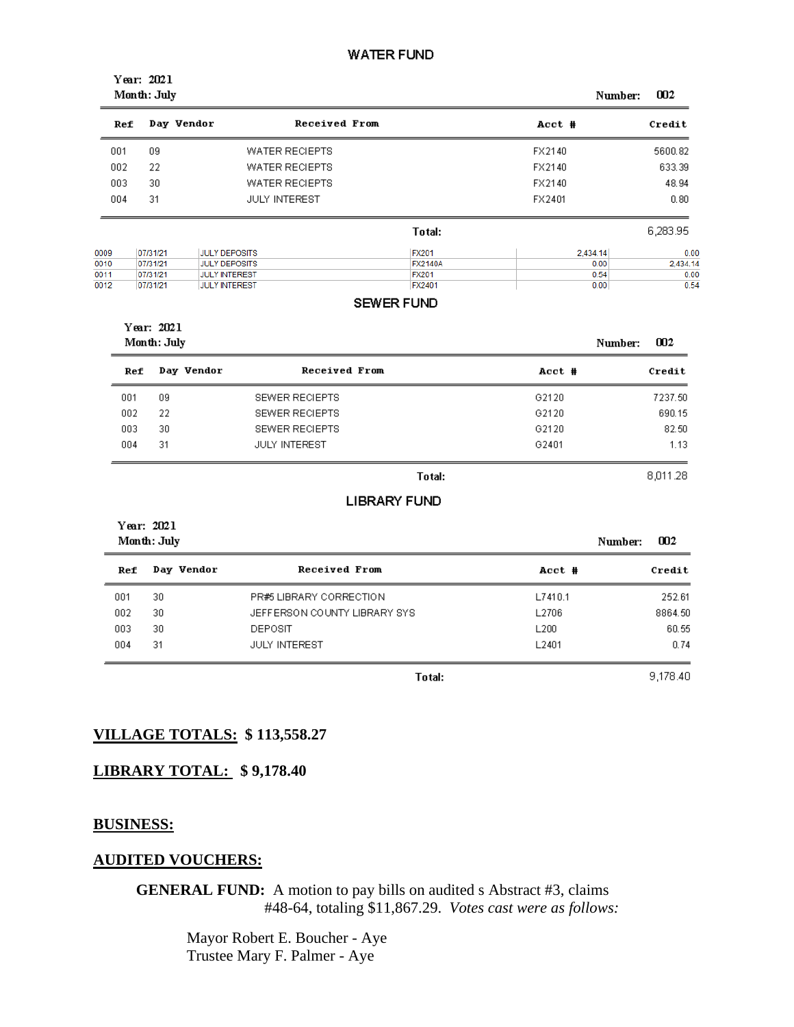#### **WATER FUND**

| Year: 2021<br>Month: July<br>002<br>Number: |            |                       |                |          |          |
|---------------------------------------------|------------|-----------------------|----------------|----------|----------|
| Ref                                         | Day Vendor |                       | Received From  | Acct #   | Credit   |
| 001                                         | 09         | <b>WATER RECIEPTS</b> |                | FX2140   | 5600.82  |
| 002                                         | 22         | <b>WATER RECIEPTS</b> |                | FX2140   | 633.39   |
| 003                                         | 30         | <b>WATER RECIEPTS</b> |                | FX2140   | 48.94    |
| 004                                         | 31         | <b>JULY INTEREST</b>  |                | FX2401   | 0.80     |
|                                             |            |                       | Total:         |          | 6,283.95 |
| 0009                                        | 07/31/21   | <b>JULY DEPOSITS</b>  | <b>FX201</b>   | 2,434.14 | 0.00     |
| 0010                                        | 07/31/21   | <b>JULY DEPOSITS</b>  | <b>FX2140A</b> | 0.00     | 2,434.14 |
| 0011                                        | 07/31/21   | <b>JULY INTEREST</b>  | <b>FX201</b>   | 0.54     | 0.00     |
| 0012                                        | 07/31/21   | <b>JULY INTEREST</b>  | FX2401         | 0.00     | 0.54     |

#### **SEWER FUND**

| Year: 2021<br>Month: July |            |                       |        | 002<br>Number: |
|---------------------------|------------|-----------------------|--------|----------------|
| Ref                       | Day Vendor | Received From         | Acct # | Credit         |
| 001                       | 09         | <b>SEWER RECIEPTS</b> | G2120  | 7237.50        |
| 002                       | 22         | SEWER RECIEPTS        | G2120  | 690.15         |
| 003                       | 30         | SEWER RECIEPTS        | G2120  | 82.50          |
| 004                       | 31         | <b>JULY INTEREST</b>  | G2401  | 1.13           |

#### Total:

#### **LIBRARY FUND**

| Year: 2021<br>Month: July |            |                              |                   | 002<br>Number: |
|---------------------------|------------|------------------------------|-------------------|----------------|
| Ref                       | Day Vendor | Received From                | Acct #            | Credit         |
| 001                       | 30         | PR#5 LIBRARY CORRECTION      | L7410.1           | 252.61         |
| 002                       | 30         | JEFFERSON COUNTY LIBRARY SYS | L2706             | 8864.50        |
| 003                       | 30         | <b>DEPOSIT</b>               | L <sub>200</sub>  | 60.55          |
| 004                       | 31         | <b>JULY INTEREST</b>         | L <sub>2401</sub> | 0.74           |

Total:

9,178.40

8,011.28

## **VILLAGE TOTALS: \$ 113,558.27**

## **LIBRARY TOTAL: \$ 9,178.40**

#### **BUSINESS:**

#### **AUDITED VOUCHERS:**

**GENERAL FUND:** A motion to pay bills on audited s Abstract #3, claims #48-64, totaling \$11,867.29. *Votes cast were as follows:*

> Mayor Robert E. Boucher - Aye Trustee Mary F. Palmer - Aye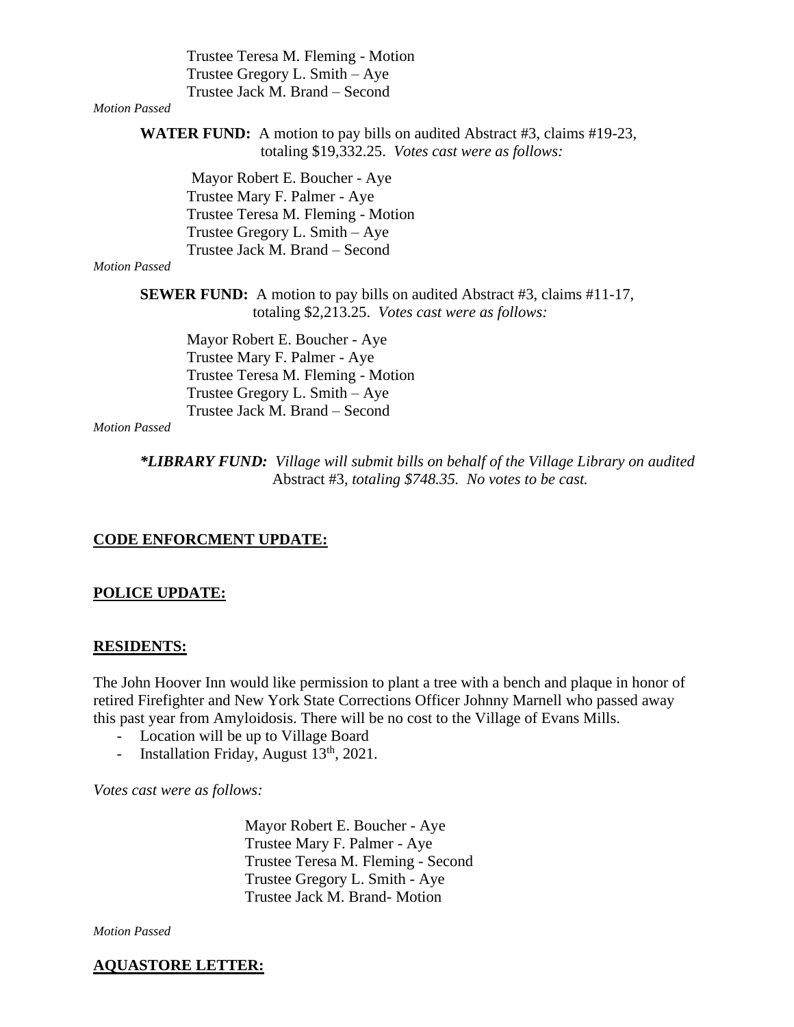Trustee Teresa M. Fleming - Motion Trustee Gregory L. Smith – Aye Trustee Jack M. Brand – Second

## *Motion Passed*

**WATER FUND:** A motion to pay bills on audited Abstract #3, claims #19-23, totaling \$19,332.25. *Votes cast were as follows:*

Mayor Robert E. Boucher - Aye Trustee Mary F. Palmer - Aye Trustee Teresa M. Fleming - Motion Trustee Gregory L. Smith – Aye Trustee Jack M. Brand – Second

#### *Motion Passed*

**SEWER FUND:** A motion to pay bills on audited Abstract #3, claims #11-17, totaling \$2,213.25. *Votes cast were as follows:*

Mayor Robert E. Boucher - Aye Trustee Mary F. Palmer - Aye Trustee Teresa M. Fleming - Motion Trustee Gregory L. Smith – Aye Trustee Jack M. Brand – Second

#### *Motion Passed*

*\*LIBRARY FUND: Village will submit bills on behalf of the Village Library on audited* Abstract #3*, totaling \$748.35. No votes to be cast.*

#### **CODE ENFORCMENT UPDATE:**

#### **POLICE UPDATE:**

#### **RESIDENTS:**

The John Hoover Inn would like permission to plant a tree with a bench and plaque in honor of retired Firefighter and New York State Corrections Officer Johnny Marnell who passed away this past year from Amyloidosis. There will be no cost to the Village of Evans Mills.

- Location will be up to Village Board
- Installation Friday, August  $13<sup>th</sup>$ , 2021.

*Votes cast were as follows:*

 Mayor Robert E. Boucher - Aye Trustee Mary F. Palmer - Aye Trustee Teresa M. Fleming - Second Trustee Gregory L. Smith - Aye Trustee Jack M. Brand- Motion

*Motion Passed*

#### **AQUASTORE LETTER:**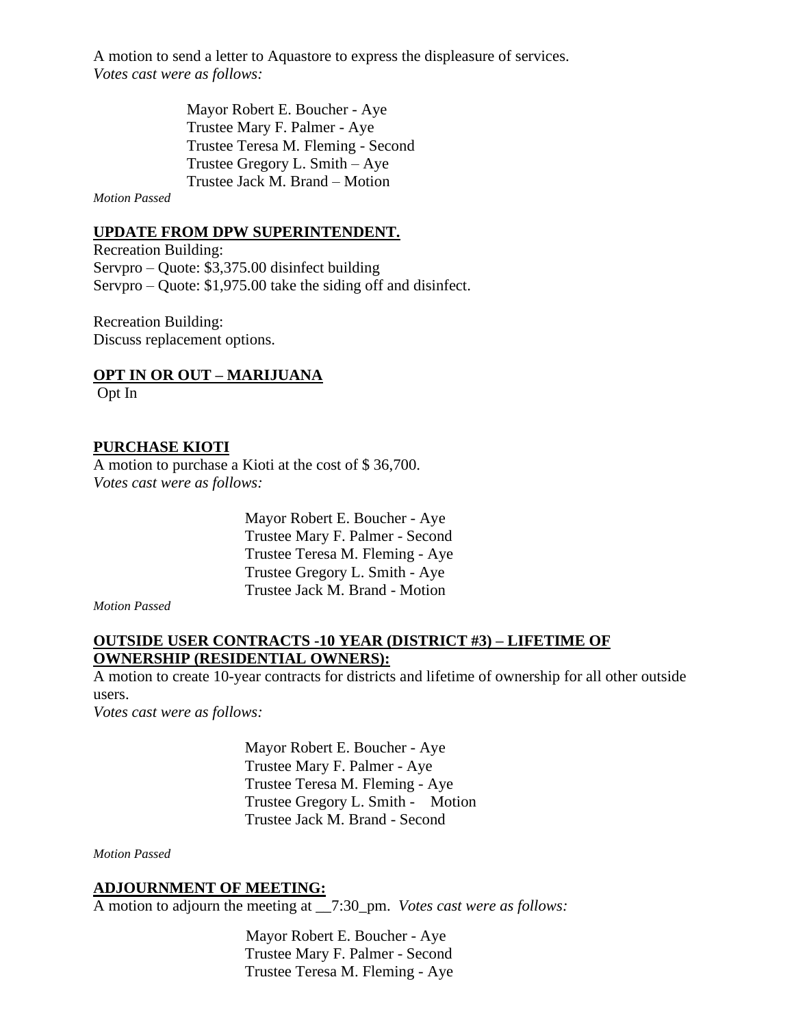A motion to send a letter to Aquastore to express the displeasure of services. *Votes cast were as follows:*

> Mayor Robert E. Boucher - Aye Trustee Mary F. Palmer - Aye Trustee Teresa M. Fleming - Second Trustee Gregory L. Smith – Aye Trustee Jack M. Brand – Motion

*Motion Passed*

#### **UPDATE FROM DPW SUPERINTENDENT.**

Recreation Building: Servpro – Quote: \$3,375.00 disinfect building Servpro – Quote: \$1,975.00 take the siding off and disinfect.

Recreation Building: Discuss replacement options.

# **OPT IN OR OUT – MARIJUANA**

Opt In

## **PURCHASE KIOTI**

A motion to purchase a Kioti at the cost of \$ 36,700. *Votes cast were as follows:*

> Mayor Robert E. Boucher - Aye Trustee Mary F. Palmer - Second Trustee Teresa M. Fleming - Aye Trustee Gregory L. Smith - Aye Trustee Jack M. Brand - Motion

*Motion Passed*

## **OUTSIDE USER CONTRACTS -10 YEAR (DISTRICT #3) – LIFETIME OF OWNERSHIP (RESIDENTIAL OWNERS):**

A motion to create 10-year contracts for districts and lifetime of ownership for all other outside users.

*Votes cast were as follows:*

 Mayor Robert E. Boucher - Aye Trustee Mary F. Palmer - Aye Trustee Teresa M. Fleming - Aye Trustee Gregory L. Smith - Motion Trustee Jack M. Brand - Second

*Motion Passed*

#### **ADJOURNMENT OF MEETING:**

A motion to adjourn the meeting at \_\_7:30\_pm. *Votes cast were as follows:*

 Mayor Robert E. Boucher - Aye Trustee Mary F. Palmer - Second Trustee Teresa M. Fleming - Aye